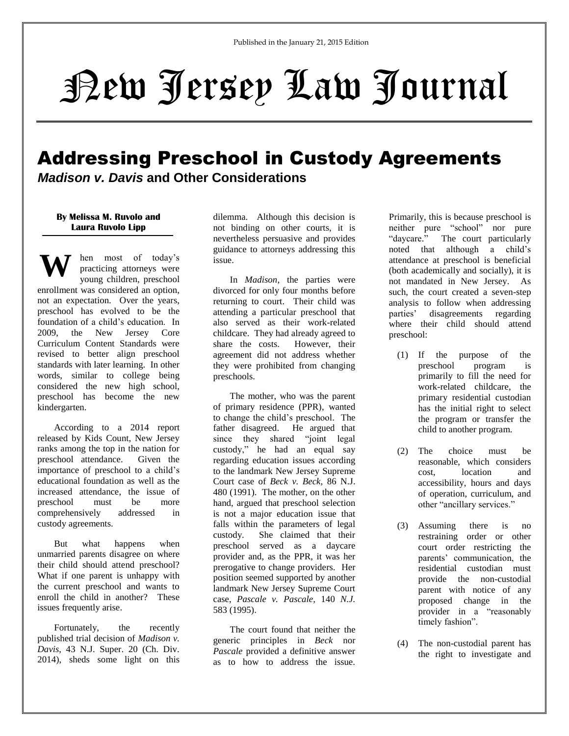# New Jersey Law Journal

# Addressing Preschool in Custody Agreements

*Madison v. Davis* **and Other Considerations**

## **By Melissa M. Ruvolo and Laura Ruvolo Lipp**

**W** hen most of today's practicing attorneys were young children, preschool enrollment was considered an option, not an expectation. Over the years, preschool has evolved to be the foundation of a child's education. In 2009, the New Jersey Core Curriculum Content Standards were revised to better align preschool standards with later learning. In other words, similar to college being considered the new high school, preschool has become the new kindergarten.

According to a 2014 report released by Kids Count, New Jersey ranks among the top in the nation for preschool attendance. Given the importance of preschool to a child's educational foundation as well as the increased attendance, the issue of preschool must be more comprehensively addressed in custody agreements.

But what happens when unmarried parents disagree on where their child should attend preschool? What if one parent is unhappy with the current preschool and wants to enroll the child in another? These issues frequently arise.

Fortunately, the recently published trial decision of *Madison v. Davis*, 43 N.J. Super. 20 (Ch. Div. 2014), sheds some light on this dilemma. Although this decision is not binding on other courts, it is nevertheless persuasive and provides guidance to attorneys addressing this issue.

In *Madison*, the parties were divorced for only four months before returning to court. Their child was attending a particular preschool that also served as their work-related childcare. They had already agreed to share the costs. However, their agreement did not address whether they were prohibited from changing preschools.

The mother, who was the parent of primary residence (PPR), wanted to change the child's preschool. The father disagreed. He argued that since they shared "joint legal custody," he had an equal say regarding education issues according to the landmark New Jersey Supreme Court case of *Beck v. Beck,* 86 N.J. 480 (1991). The mother, on the other hand, argued that preschool selection is not a major education issue that falls within the parameters of legal custody. She claimed that their preschool served as a daycare provider and, as the PPR, it was her prerogative to change providers. Her position seemed supported by another landmark New Jersey Supreme Court case, *Pascale v. Pascale,* 140 *N.J.*  583 (1995).

The court found that neither the generic principles in *Beck* nor *Pascale* provided a definitive answer as to how to address the issue. Primarily, this is because preschool is neither pure "school" nor pure "daycare." The court particularly noted that although a child's attendance at preschool is beneficial (both academically and socially), it is not mandated in New Jersey. As such, the court created a seven-step analysis to follow when addressing parties' disagreements regarding where their child should attend preschool:

- (1) If the purpose of the preschool program is primarily to fill the need for work-related childcare, the primary residential custodian has the initial right to select the program or transfer the child to another program.
- (2) The choice must be reasonable, which considers cost, location and accessibility, hours and days of operation, curriculum, and other "ancillary services."
- (3) Assuming there is no restraining order or other court order restricting the parents' communication, the residential custodian must provide the non-custodial parent with notice of any proposed change in the provider in a "reasonably timely fashion".
- (4) The non-custodial parent has the right to investigate and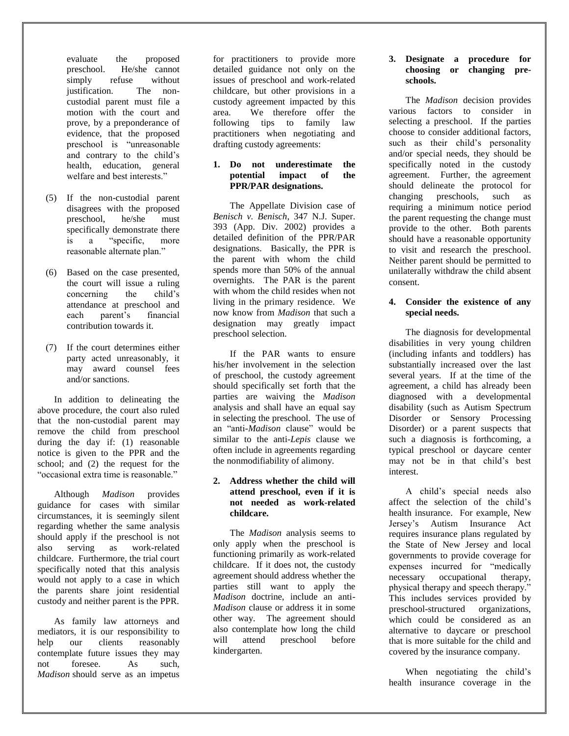evaluate the proposed preschool. He/she cannot simply refuse without justification. The noncustodial parent must file a motion with the court and prove, by a preponderance of evidence, that the proposed preschool is "unreasonable and contrary to the child's health, education, general welfare and best interests."

- (5) If the non-custodial parent disagrees with the proposed preschool, he/she must specifically demonstrate there is a "specific, more reasonable alternate plan."
- (6) Based on the case presented, the court will issue a ruling concerning the child's attendance at preschool and each parent's financial contribution towards it.
- (7) If the court determines either party acted unreasonably, it may award counsel fees and/or sanctions.

In addition to delineating the above procedure, the court also ruled that the non-custodial parent may remove the child from preschool during the day if: (1) reasonable notice is given to the PPR and the school; and (2) the request for the "occasional extra time is reasonable."

Although *Madison* provides guidance for cases with similar circumstances, it is seemingly silent regarding whether the same analysis should apply if the preschool is not also serving as work-related childcare. Furthermore, the trial court specifically noted that this analysis would not apply to a case in which the parents share joint residential custody and neither parent is the PPR.

As family law attorneys and mediators, it is our responsibility to help our clients reasonably contemplate future issues they may not foresee. As such, *Madison* should serve as an impetus

for practitioners to provide more detailed guidance not only on the issues of preschool and work-related childcare, but other provisions in a custody agreement impacted by this area. We therefore offer the following tips to family law practitioners when negotiating and drafting custody agreements:

## **1. Do not underestimate the potential impact of the PPR/PAR designations.**

The Appellate Division case of *Benisch v. Benisch*, 347 N.J. Super. 393 (App. Div. 2002) provides a detailed definition of the PPR/PAR designations. Basically, the PPR is the parent with whom the child spends more than 50% of the annual overnights. The PAR is the parent with whom the child resides when not living in the primary residence. We now know from *Madison* that such a designation may greatly impact preschool selection.

If the PAR wants to ensure his/her involvement in the selection of preschool, the custody agreement should specifically set forth that the parties are waiving the *Madison* analysis and shall have an equal say in selecting the preschool. The use of an "anti-*Madison* clause" would be similar to the anti-*Lepis* clause we often include in agreements regarding the nonmodifiability of alimony.

# **2. Address whether the child will attend preschool, even if it is not needed as work-related childcare.**

The *Madison* analysis seems to only apply when the preschool is functioning primarily as work-related childcare. If it does not, the custody agreement should address whether the parties still want to apply the *Madison* doctrine, include an anti-*Madison* clause or address it in some other way. The agreement should also contemplate how long the child<br>will attend preschool before will attend preschool before kindergarten.

#### **3. Designate a procedure for choosing or changing preschools.**

The *Madison* decision provides various factors to consider in selecting a preschool. If the parties choose to consider additional factors, such as their child's personality and/or special needs, they should be specifically noted in the custody agreement. Further, the agreement should delineate the protocol for changing preschools, such as requiring a minimum notice period the parent requesting the change must provide to the other. Both parents should have a reasonable opportunity to visit and research the preschool. Neither parent should be permitted to unilaterally withdraw the child absent consent.

# **4. Consider the existence of any special needs.**

The diagnosis for developmental disabilities in very young children (including infants and toddlers) has substantially increased over the last several years. If at the time of the agreement, a child has already been diagnosed with a developmental disability (such as Autism Spectrum Disorder or Sensory Processing Disorder) or a parent suspects that such a diagnosis is forthcoming, a typical preschool or daycare center may not be in that child's best interest.

A child's special needs also affect the selection of the child's health insurance. For example, New Jersey's Autism Insurance Act requires insurance plans regulated by the State of New Jersey and local governments to provide coverage for expenses incurred for "medically necessary occupational therapy, physical therapy and speech therapy." This includes services provided by preschool-structured organizations, which could be considered as an alternative to daycare or preschool that is more suitable for the child and covered by the insurance company.

When negotiating the child's health insurance coverage in the